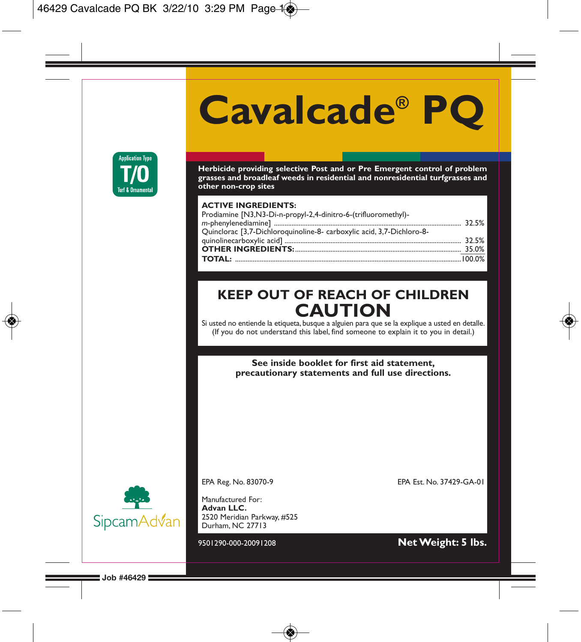# **Cavalcade® PQ**



**Herbicide providing selective Post and or Pre Emergent control of problem grasses and broadleaf weeds in residential and nonresidential turfgrasses and other non-crop sites**

#### **ACTIVE INGREDIENTS:**

| Prodiamine [N3,N3-Di-n-propyl-2,4-dinitro-6-(trifluoromethyl)-        |  |
|-----------------------------------------------------------------------|--|
| Quinclorac [3,7-Dichloroquinoline-8- carboxylic acid, 3,7-Dichloro-8- |  |
|                                                                       |  |
|                                                                       |  |
|                                                                       |  |

# **KEEP OUT OF REACH OF CHILDREN CAUTION**

Si usted no entiende la etiqueta, busque a alguien para que se la explique a usted en detalle. (If you do not understand this label, find someone to explain it to you in detail.)

> **See inside booklet for first aid statement, precautionary statements and full use directions.**



Manufactured For: **Advan LLC.** 2520 Meridian Parkway, #525 Durham, NC 27713

EPA Reg. No. 83070-9 EPA Est. No. 37429-GA-01

## 9501290-000-20091208 **Net Weight: 5 lbs.**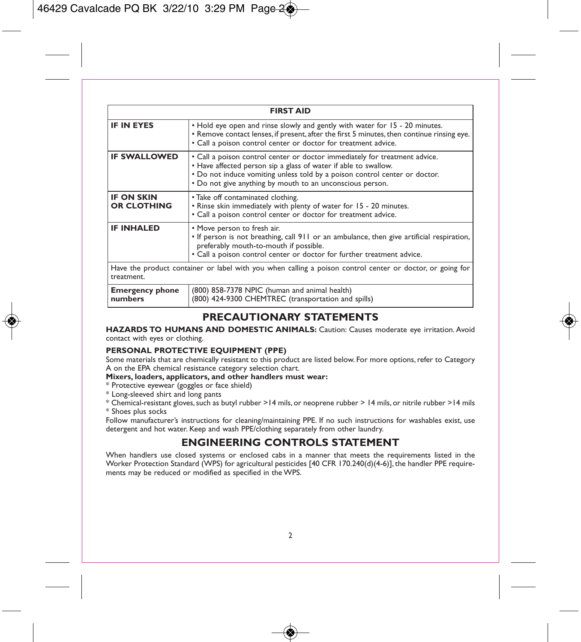| <b>FIRST AID</b>                                                                                                        |                                                                                                                                                                                                                                                                                          |  |
|-------------------------------------------------------------------------------------------------------------------------|------------------------------------------------------------------------------------------------------------------------------------------------------------------------------------------------------------------------------------------------------------------------------------------|--|
| <b>IF IN EYES</b>                                                                                                       | • Hold eye open and rinse slowly and gently with water for 15 - 20 minutes.<br>. Remove contact lenses, if present, after the first 5 minutes, then continue rinsing eye.<br>• Call a poison control center or doctor for treatment advice.                                              |  |
| <b>IF SWALLOWED</b>                                                                                                     | • Call a poison control center or doctor immediately for treatment advice.<br>• Have affected person sip a glass of water if able to swallow.<br>• Do not induce vomiting unless told by a poison control center or doctor.<br>• Do not give anything by mouth to an unconscious person. |  |
| <b>IF ON SKIN</b><br>OR CLOTHING                                                                                        | • Take off contaminated clothing.<br>• Rinse skin immediately with plenty of water for 15 - 20 minutes.<br>• Call a poison control center or doctor for treatment advice.                                                                                                                |  |
| <b>IF INHALED</b>                                                                                                       | • Move person to fresh air.<br>• If person is not breathing, call 911 or an ambulance, then give artificial respiration,<br>preferably mouth-to-mouth if possible.<br>• Call a poison control center or doctor for further treatment advice.                                             |  |
| Have the product container or label with you when calling a poison control center or doctor, or going for<br>treatment. |                                                                                                                                                                                                                                                                                          |  |
| <b>Emergency phone</b><br>numbers                                                                                       | (800) 858-7378 NPIC (human and animal health)<br>(800) 424-9300 CHEMTREC (transportation and spills)                                                                                                                                                                                     |  |

## **PRECAUTIONARY STATEMENTS**

### **HAZARDS TO HUMANS AND DOMESTIC ANIMALS:** Caution: Causes moderate eye irritation. Avoid

contact with eyes or clothing.

#### **PERSONAL PROTECTIVE EQUIPMENT (PPE)**

Some materials that are chemically resistant to this product are listed below. For more options, refer to Category A on the EPA chemical resistance category selection chart.

#### **Mixers, loaders, applicators, and other handlers must wear:**

- \* Protective eyewear (goggles or face shield)
- \* Long-sleeved shirt and long pants
- \* Chemical-resistant gloves, such as butyl rubber >14 mils, or neoprene rubber > 14 mils, or nitrile rubber >14 mils \* Shoes plus socks

Follow manufacturer's instructions for cleaning/maintaining PPE. If no such instructions for washables exist, use detergent and hot water. Keep and wash PPE/clothing separately from other laundry.

## **ENGINEERING CONTROLS STATEMENT**

When handlers use closed systems or enclosed cabs in a manner that meets the requirements listed in the Worker Protection Standard (WPS) for agricultural pesticides [40 CFR 170.240(d)(4-6)], the handler PPE requirements may be reduced or modified as specified in the WPS.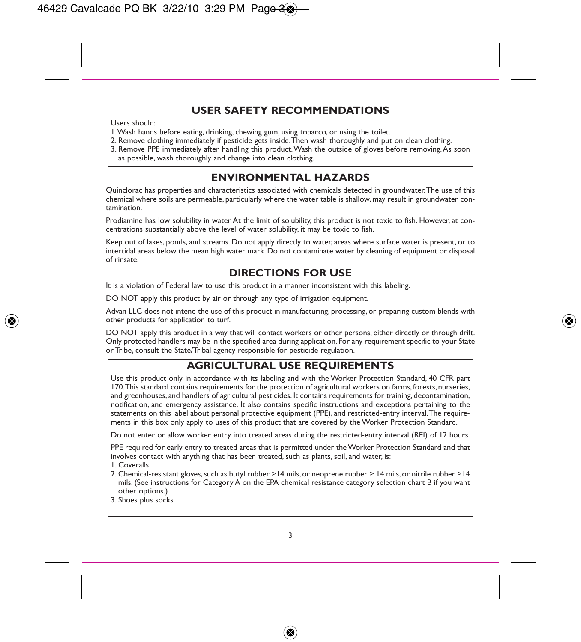## **USER SAFETY RECOMMENDATIONS**

Users should:

- 1. Wash hands before eating, drinking, chewing gum, using tobacco, or using the toilet.
- 2. Remove clothing immediately if pesticide gets inside. Then wash thoroughly and put on clean clothing.
- 3. Remove PPE immediately after handling this product. Wash the outside of gloves before removing. As soon as possible, wash thoroughly and change into clean clothing.

## **ENVIRONMENTAL HAZARDS**

Quinclorac has properties and characteristics associated with chemicals detected in groundwater. The use of this chemical where soils are permeable, particularly where the water table is shallow, may result in groundwater contamination.

Prodiamine has low solubility in water. At the limit of solubility, this product is not toxic to fish. However, at concentrations substantially above the level of water solubility, it may be toxic to fish.

Keep out of lakes, ponds, and streams. Do not apply directly to water, areas where surface water is present, or to intertidal areas below the mean high water mark. Do not contaminate water by cleaning of equipment or disposal of rinsate.

## **DIRECTIONS FOR USE**

It is a violation of Federal law to use this product in a manner inconsistent with this labeling.

DO NOT apply this product by air or through any type of irrigation equipment.

Advan LLC does not intend the use of this product in manufacturing, processing, or preparing custom blends with other products for application to turf.

DO NOT apply this product in a way that will contact workers or other persons, either directly or through drift. Only protected handlers may be in the specified area during application. For any requirement specific to your State or Tribe, consult the State/Tribal agency responsible for pesticide regulation.

## **AGRICULTURAL USE REQUIREMENTS**

Use this product only in accordance with its labeling and with the Worker Protection Standard, 40 CFR part 170. This standard contains requirements for the protection of agricultural workers on farms, forests, nurseries, and greenhouses, and handlers of agricultural pesticides. It contains requirements for training, decontamination, notification, and emergency assistance. It also contains specific instructions and exceptions pertaining to the statements on this label about personal protective equipment (PPE), and restricted-entry interval. The requirements in this box only apply to uses of this product that are covered by the Worker Protection Standard.

Do not enter or allow worker entry into treated areas during the restricted-entry interval (REI) of 12 hours.

PPE required for early entry to treated areas that is permitted under the Worker Protection Standard and that involves contact with anything that has been treated, such as plants, soil, and water, is:

- 1. Coveralls
- 2. Chemical-resistant gloves, such as butyl rubber >14 mils, or neoprene rubber > 14 mils, or nitrile rubber >14 mils. (See instructions for Category A on the EPA chemical resistance category selection chart B if you want other options.)
- 3. Shoes plus socks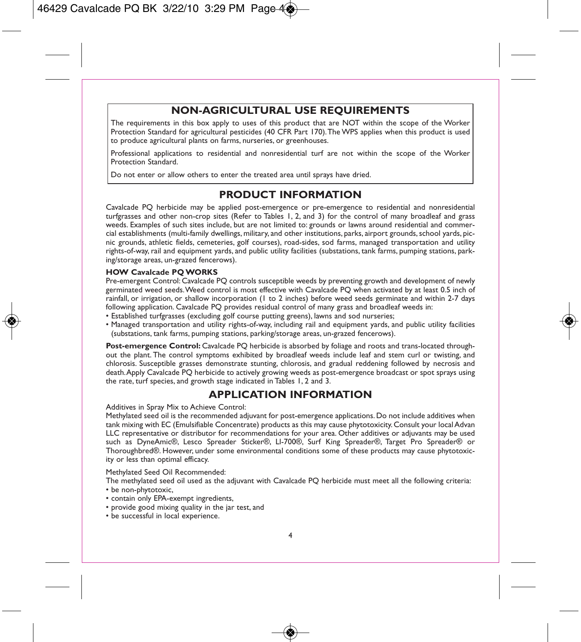## **NON-AGRICULTURAL USE REQUIREMENTS**

The requirements in this box apply to uses of this product that are NOT within the scope of the Worker Protection Standard for agricultural pesticides (40 CFR Part 170). The WPS applies when this product is used to produce agricultural plants on farms, nurseries, or greenhouses.

Professional applications to residential and nonresidential turf are not within the scope of the Worker Protection Standard.

Do not enter or allow others to enter the treated area until sprays have dried.

## **PRODUCT INFORMATION**

Cavalcade PQ herbicide may be applied post-emergence or pre-emergence to residential and nonresidential turfgrasses and other non-crop sites (Refer to Tables 1, 2, and 3) for the control of many broadleaf and grass weeds. Examples of such sites include, but are not limited to: grounds or lawns around residential and commercial establishments (multi-family dwellings, military, and other institutions, parks, airport grounds, school yards, picnic grounds, athletic fields, cemeteries, golf courses), road-sides, sod farms, managed transportation and utility rights-of-way, rail and equipment yards, and public utility facilities (substations, tank farms, pumping stations, parking/storage areas, un-grazed fencerows).

#### **HOW Cavalcade PQ WORKS**

Pre-emergent Control: Cavalcade PQ controls susceptible weeds by preventing growth and development of newly germinated weed seeds. Weed control is most effective with Cavalcade PQ when activated by at least 0.5 inch of rainfall, or irrigation, or shallow incorporation (1 to 2 inches) before weed seeds germinate and within 2-7 days following application. Cavalcade PQ provides residual control of many grass and broadleaf weeds in:

- Established turfgrasses (excluding golf course putting greens), lawns and sod nurseries;
- Managed transportation and utility rights-of-way, including rail and equipment yards, and public utility facilities (substations, tank farms, pumping stations, parking/storage areas, un-grazed fencerows).

**Post-emergence Control:** Cavalcade PQ herbicide is absorbed by foliage and roots and trans-located throughout the plant. The control symptoms exhibited by broadleaf weeds include leaf and stem curl or twisting, and chlorosis. Susceptible grasses demonstrate stunting, chlorosis, and gradual reddening followed by necrosis and death. Apply Cavalcade PQ herbicide to actively growing weeds as post-emergence broadcast or spot sprays using the rate, turf species, and growth stage indicated in Tables 1, 2 and 3.

## **APPLICATION INFORMATION**

Additives in Spray Mix to Achieve Control:

Methylated seed oil is the recommended adjuvant for post-emergence applications. Do not include additives when tank mixing with EC (Emulsifiable Concentrate) products as this may cause phytotoxicity. Consult your local Advan LLC representative or distributor for recommendations for your area. Other additives or adjuvants may be used such as DyneAmic®, Lesco Spreader Sticker®, Ll-700®, Surf King Spreader®, Target Pro Spreader® or Thoroughbred®. However, under some environmental conditions some of these products may cause phytotoxicity or less than optimal efficacy.

Methylated Seed Oil Recommended:

The methylated seed oil used as the adjuvant with Cavalcade PQ herbicide must meet all the following criteria:

- be non-phytotoxic.
- contain only EPA-exempt ingredients,
- provide good mixing quality in the jar test, and
- be successful in local experience.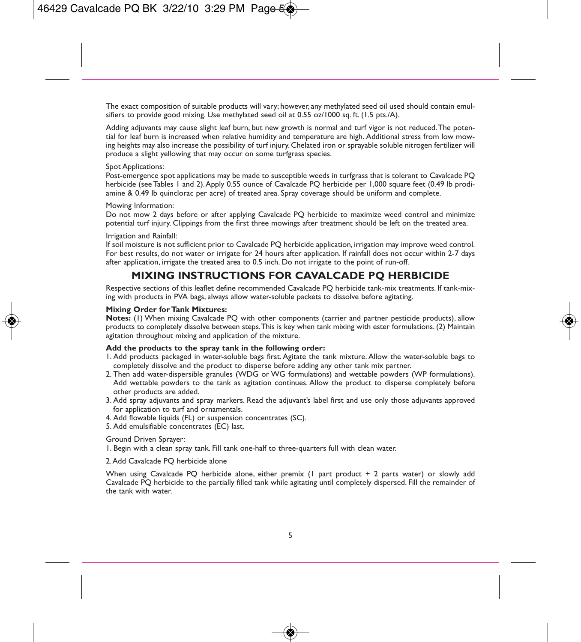The exact composition of suitable products will vary; however, any methylated seed oil used should contain emulsifiers to provide good mixing. Use methylated seed oil at 0.55  $\alpha z/1000$  sq. ft. (1.5 pts./A).

Adding adjuvants may cause slight leaf burn, but new growth is normal and turf vigor is not reduced. The potential for leaf burn is increased when relative humidity and temperature are high. Additional stress from low mowing heights may also increase the possibility of turf injury. Chelated iron or sprayable soluble nitrogen fertilizer will produce a slight yellowing that may occur on some turfgrass species.

#### Spot Applications:

Post-emergence spot applications may be made to susceptible weeds in turfgrass that is tolerant to Cavalcade PO herbicide (see Tables 1 and 2). Apply 0.55 ounce of Cavalcade PO herbicide per 1,000 square feet (0.49 lb prodiamine & 0.49 lb quinclorac per acre) of treated area. Spray coverage should be uniform and complete.

#### Mowing Information:

Do not mow 2 days before or after applying Cavalcade PQ herbicide to maximize weed control and minimize potential turf injury. Clippings from the first three mowings after treatment should be left on the treated area.

#### Irrigation and Rainfall:

If soil moisture is not sufficient prior to Cavalcade PQ herbicide application, irrigation may improve weed control. For best results, do not water or irrigate for 24 hours after application. If rainfall does not occur within 2-7 days after application, irrigate the treated area to 0.5 inch. Do not irrigate to the point of run-off.

## **MIXING INSTRUCTIONS FOR CAVALCADE PO HERBICIDE**

Respective sections of this leaflet define recommended Cavalcade PQ herbicide tank-mix treatments. If tank-mixing with products in PVA bags, always allow water-soluble packets to dissolve before agitating.

#### **Mixing Order for Tank Mixtures:**

**Notes:** (1) When mixing Cavalcade PQ with other components (carrier and partner pesticide products), allow products to completely dissolve between steps. This is key when tank mixing with ester formulations. (2) Maintain agitation throughout mixing and application of the mixture.

#### **Add the products to the spray tank in the following order:**

- 1. Add products packaged in water-soluble bags first. Agitate the tank mixture. Allow the water-soluble bags to completely dissolve and the product to disperse before adding any other tank mix partner.
- 2. Then add water-dispersible granules (WDG or WG formulations) and wettable powders (WP formulations). Add wettable powders to the tank as agitation continues. Allow the product to disperse completely before other products are added.
- 3. Add spray adjuvants and spray markers. Read the adjuvant's label first and use only those adjuvants approved for application to turf and ornamentals.
- 4. Add flowable liquids (FL) or suspension concentrates (SC).
- 5. Add emulsifiable concentrates (EC) last.

Ground Driven Sprayer:

- 1. Begin with a clean spray tank. Fill tank one-half to three-quarters full with clean water.
- 2. Add Cavalcade PQ herbicide alone

When using Cavalcade PQ herbicide alone, either premix (1 part product + 2 parts water) or slowly add Cavalcade PQ herbicide to the partially filled tank while agitating until completely dispersed. Fill the remainder of the tank with water.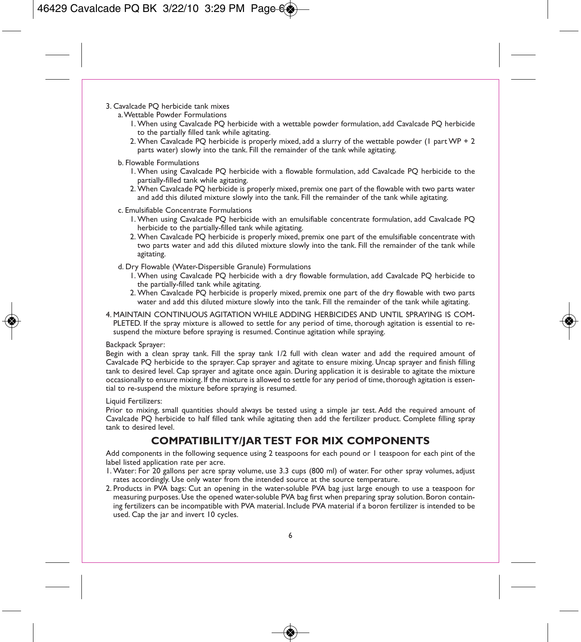- 3. Cavalcade PQ herbicide tank mixes
	- a. Wettable Powder Formulations
		- 1. When using Cavalcade PQ herbicide with a wettable powder formulation, add Cavalcade PQ herbicide to the partially filled tank while agitating.
		- 2. When Cavalcade PO herbicide is properly mixed, add a slurry of the wettable powder (1 part WP + 2) parts water) slowly into the tank. Fill the remainder of the tank while agitating.
	- b. Flowable Formulations
		- 1. When using Cavalcade PQ herbicide with a flowable formulation, add Cavalcade PQ herbicide to the partially-filled tank while agitating.
		- 2. When Cavalcade PQ herbicide is properly mixed, premix one part of the flowable with two parts water and add this diluted mixture slowly into the tank. Fill the remainder of the tank while agitating.
	- c. Emulsifiable Concentrate Formulations
		- 1. When using Cavalcade PQ herbicide with an emulsifiable concentrate formulation, add Cavalcade PQ herbicide to the partially-filled tank while agitating.
		- 2. When Cavalcade PQ herbicide is properly mixed, premix one part of the emulsifiable concentrate with two parts water and add this diluted mixture slowly into the tank. Fill the remainder of the tank while agitating.
	- d. Dry Flowable (Water-Dispersible Granule) Formulations
		- 1. When using Cavalcade PQ herbicide with a dry flowable formulation, add Cavalcade PQ herbicide to the partially-filled tank while agitating.
		- 2. When Cavalcade PQ herbicide is properly mixed, premix one part of the dry flowable with two parts water and add this diluted mixture slowly into the tank. Fill the remainder of the tank while agitating.
- 4. MAINTAIN CONTINUOUS AGITATION WHILE ADDING HERBICIDES AND UNTIL SPRAYING IS COM-PLETED. If the spray mixture is allowed to settle for any period of time, thorough agitation is essential to resuspend the mixture before spraying is resumed. Continue agitation while spraying.

#### Backpack Sprayer:

Begin with a clean spray tank. Fill the spray tank 1/2 full with clean water and add the required amount of Cavalcade PQ herbicide to the sprayer. Cap sprayer and agitate to ensure mixing. Uncap sprayer and finish filling tank to desired level. Cap sprayer and agitate once again. During application it is desirable to agitate the mixture occasionally to ensure mixing. If the mixture is allowed to settle for any period of time, thorough agitation is essential to re-suspend the mixture before spraying is resumed.

Liquid Fertilizers:

Prior to mixing, small quantities should always be tested using a simple jar test. Add the required amount of Cavalcade PQ herbicide to half filled tank while agitating then add the fertilizer product. Complete filling spray tank to desired level.

## **COMPATIBILITY/JAR TEST FOR MIX COMPONENTS**

Add components in the following sequence using 2 teaspoons for each pound or 1 teaspoon for each pint of the label listed application rate per acre.

- 1. Water: For 20 gallons per acre spray volume, use 3.3 cups (800 ml) of water. For other spray volumes, adjust rates accordingly. Use only water from the intended source at the source temperature.
- 2. Products in PVA bags: Cut an opening in the water-soluble PVA bag just large enough to use a teaspoon for measuring purposes. Use the opened water-soluble PVA bag first when preparing spray solution. Boron containing fertilizers can be incompatible with PVA material. Include PVA material if a boron fertilizer is intended to be used. Cap the jar and invert 10 cycles.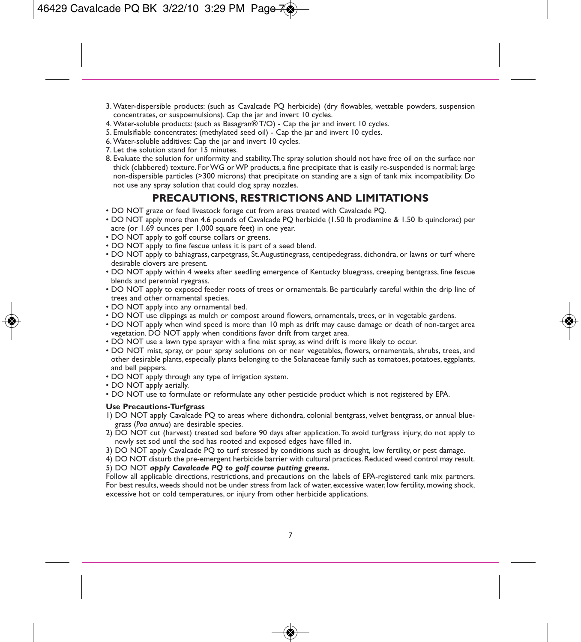- 3. Water-dispersible products: (such as Cavalcade PQ herbicide) (dry flowables, wettable powders, suspension concentrates, or suspoemulsions). Cap the jar and invert 10 cycles.
- 4. Water-soluble products: (such as Basagran® T/O) Cap the jar and invert 10 cycles.
- 5. Emulsifiable concentrates: (methylated seed oil) Cap the jar and invert 10 cycles.
- 6. Water-soluble additives: Cap the jar and invert 10 cycles.
- 7. Let the solution stand for 15 minutes.
- 8. Evaluate the solution for uniformity and stability. The spray solution should not have free oil on the surface nor thick (clabbered) texture. For WG or WP products, a fine precipitate that is easily re-suspended is normal; large non-dispersible particles (>300 microns) that precipitate on standing are a sign of tank mix incompatibility. Do not use any spray solution that could clog spray nozzles.

## **PRECAUTIONS, RESTRICTIONS AND LIMITATIONS**

- DO NOT graze or feed livestock forage cut from areas treated with Cavalcade PQ.
- DO NOT apply more than 4.6 pounds of Cavalcade PQ herbicide (1.50 lb prodiamine & 1.50 lb quinclorac) per acre (or 1.69 ounces per 1,000 square feet) in one year.
- DO NOT apply to golf course collars or greens.
- DO NOT apply to fine fescue unless it is part of a seed blend.
- DO NOT apply to bahiagrass, carpetgrass, St. Augustinegrass, centipedegrass, dichondra, or lawns or turf where desirable clovers are present.
- DO NOT apply within 4 weeks after seedling emergence of Kentucky bluegrass, creeping bentgrass, fine fescue blends and perennial ryegrass.
- DO NOT apply to exposed feeder roots of trees or ornamentals. Be particularly careful within the drip line of trees and other ornamental species.
- DO NOT apply into any ornamental bed.
- DO NOT use clippings as mulch or compost around flowers, ornamentals, trees, or in vegetable gardens.
- DO NOT apply when wind speed is more than 10 mph as drift may cause damage or death of non-target area vegetation. DO NOT apply when conditions favor drift from target area.
- DO NOT use a lawn type sprayer with a fine mist spray, as wind drift is more likely to occur.
- DO NOT mist, spray, or pour spray solutions on or near vegetables, flowers, ornamentals, shrubs, trees, and other desirable plants, especially plants belonging to the Solanaceae family such as tomatoes, potatoes, eggplants, and bell peppers.
- DO NOT apply through any type of irrigation system.
- DO NOT apply aerially.
- DO NOT use to formulate or reformulate any other pesticide product which is not registered by EPA.

#### **Use Precautions-Turfgrass**

- 1) DO NOT apply Cavalcade PQ to areas where dichondra, colonial bentgrass, velvet bentgrass, or annual bluegrass (*Poa annua*) are desirable species.
- 2) DO NOT cut (harvest) treated sod before 90 days after application. To avoid turfgrass injury, do not apply to newly set sod until the sod has rooted and exposed edges have filled in.
- 3) DO NOT apply Cavalcade PQ to turf stressed by conditions such as drought, low fertility, or pest damage.
- 4) DO NOT disturb the pre-emergent herbicide barrier with cultural practices. Reduced weed control may result.

#### 5) DO NOT *apply Cavalcade PQ to golf course putting greens.*

Follow all applicable directions, restrictions, and precautions on the labels of EPA-registered tank mix partners. For best results, weeds should not be under stress from lack of water, excessive water, low fertility, mowing shock, excessive hot or cold temperatures, or injury from other herbicide applications.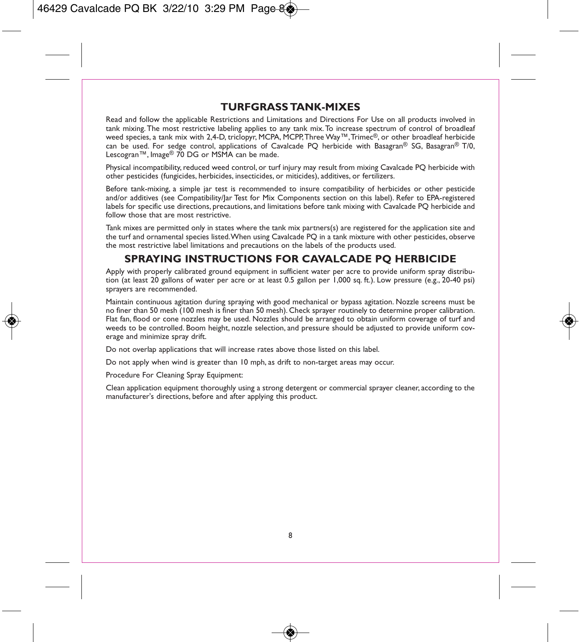## **TURFGRASS TANK-MIXES**

Read and follow the applicable Restrictions and Limitations and Directions For Use on all products involved in tank mixing. The most restrictive labeling applies to any tank mix. To increase spectrum of control of broadleaf weed species, a tank mix with 2,4-D, triclopyr, MCPA, MCPP, Three Way™, Trimec®, or other broadleaf herbicide can be used. For sedge control, applications of Cavalcade PQ herbicide with Basagran® SG, Basagran® T/0, Lescogran™, Image® 70 DG or MSMA can be made.

Physical incompatibility, reduced weed control, or turf injury may result from mixing Cavalcade PQ herbicide with other pesticides (fungicides, herbicides, insecticides, or miticides), additives, or fertilizers.

Before tank-mixing, a simple jar test is recommended to insure compatibility of herbicides or other pesticide and/or additives (see Compatibility/Jar Test for Mix Components section on this label). Refer to EPA-registered labels for specific use directions, precautions, and limitations before tank mixing with Cavalcade PQ herbicide and follow those that are most restrictive.

Tank mixes are permitted only in states where the tank mix partners(s) are registered for the application site and the turf and ornamental species listed. When using Cavalcade PQ in a tank mixture with other pesticides, observe the most restrictive label limitations and precautions on the labels of the products used.

## **SPRAYING INSTRUCTIONS FOR CAVALCADE PQ HERBICIDE**

Apply with properly calibrated ground equipment in sufficient water per acre to provide uniform spray distribution (at least 20 gallons of water per acre or at least 0.5 gallon per 1,000 sq. ft.). Low pressure (e.g., 20-40 psi) sprayers are recommended.

Maintain continuous agitation during spraying with good mechanical or bypass agitation. Nozzle screens must be no finer than 50 mesh (100 mesh is finer than 50 mesh). Check sprayer routinely to determine proper calibration. Flat fan, flood or cone nozzles may be used. Nozzles should be arranged to obtain uniform coverage of turf and weeds to be controlled. Boom height, nozzle selection, and pressure should be adjusted to provide uniform coverage and minimize spray drift.

Do not overlap applications that will increase rates above those listed on this label.

Do not apply when wind is greater than 10 mph, as drift to non-target areas may occur.

Procedure For Cleaning Spray Equipment:

Clean application equipment thoroughly using a strong detergent or commercial sprayer cleaner, according to the manufacturer's directions, before and after applying this product.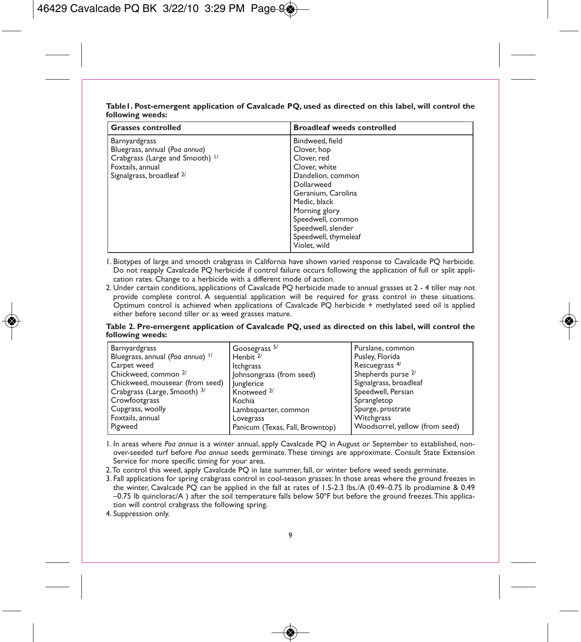#### **Table1. Post-emergent application of Cavalcade PQ, used as directed on this label, will control the following weeds:**

| <b>Grasses controlled</b>       | <b>Broadleaf weeds controlled</b> |
|---------------------------------|-----------------------------------|
| Barnyardgrass                   | Bindweed, field                   |
| Bluegrass, annual (Poa annua)   | Clover, hop                       |
| Crabgrass (Large and Smooth) 1/ | Clover, red                       |
| Foxtails, annual                | Clover, white                     |
| Signalgrass, broadleaf 2/       | Dandelion, common                 |
|                                 | Dollarweed                        |
|                                 | Geranium, Carolina                |
|                                 | Medic, black                      |
|                                 | Morning glory                     |
|                                 | Speedwell, common                 |
|                                 | Speedwell, slender                |
|                                 | Speedwell, thymeleaf              |
|                                 | Violet, wild                      |

- 1. Biotypes of large and smooth crabgrass in California have shown varied response to Cavalcade PQ herbicide. Do not reapply Cavalcade PQ herbicide if control failure occurs following the application of full or split application rates. Change to a herbicide with a different mode of action.
- 2. Under certain conditions, applications of Cavalcade PQ herbicide made to annual grasses at 2 4 tiller may not provide complete control. A sequential application will be required for grass control in these situations. Optimum control is achieved when applications of Cavalcade  $\overrightarrow{PO}$  herbicide + methylated seed oil is applied either before second tiller or as weed grasses mature.

#### **Table 2. Pre-emergent application of Cavalcade PQ, used as directed on this label, will control the following weeds:**

| Barnyardgrass                    | Goosegrass <sup>5/</sup>        | Purslane, common               |
|----------------------------------|---------------------------------|--------------------------------|
| Bluegrass, annual (Poa annua) 1/ | Henbit $2/$                     | Pusley, Florida                |
| Carpet weed                      | Itcherass                       | Rescuegrass <sup>4/</sup>      |
| Chickweed, common 2/             | Johnsongrass (from seed)        | Shepherds purse 2/             |
| Chickweed, mouseear (from seed)  | lunglerice                      | Signalgrass, broadleaf         |
| Crabgrass (Large, Smooth) 3/     | Knotweed <sup>2/</sup>          | Speedwell, Persian             |
| Crowfootgrass                    | Kochia                          | Sprangletop                    |
| Cupgrass, woolly                 | Lambsquarter, common            | Spurge, prostrate              |
| Foxtails, annual                 | Lovegrass                       | Witchgrass                     |
| Pigweed                          | Panicum (Texas, Fall, Browntop) | Woodsorrel, yellow (from seed) |

1. In areas where *Poa annua* is a winter annual, apply Cavalcade PQ in August or September to established, nonover-seeded turf before *Poa annua* seeds germinate. These timings are approximate. Consult State Extension Service for more specific timing for your area.

2. To control this weed, apply Cavalcade PQ in late summer, fall, or winter before weed seeds germinate.

- 3. Fall applications for spring crabgrass control in cool-season grasses: In those areas where the ground freezes in the winter, Cavalcade PQ can be applied in the fall at rates of 1.5-2.3 lbs./A (0.49–0.75 lb prodiamine & 0.49 –0.75 lb quinclorac/A ) after the soil temperature falls below 50ºF but before the ground freezes. This application will control crabgrass the following spring.
- 4. Suppression only.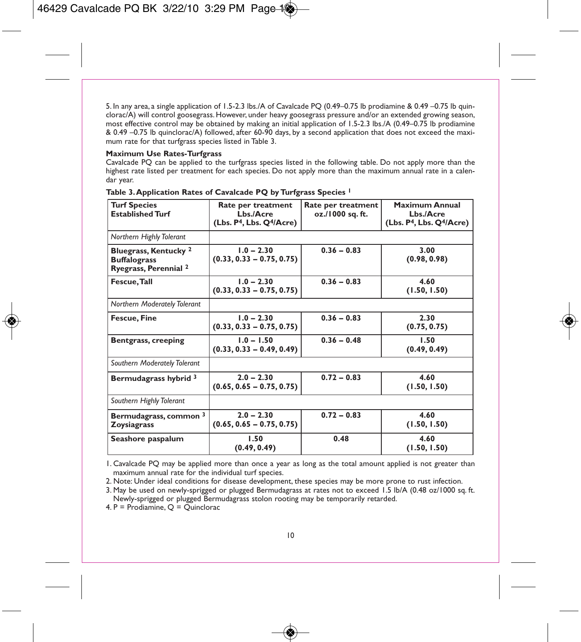5. In any area, a single application of 1.5-2.3 lbs./A of Cavalcade PQ (0.49–0.75 lb prodiamine & 0.49 –0.75 lb quinclorac/A) will control goosegrass. However, under heavy goosegrass pressure and/or an extended growing season, most effective control may be obtained by making an initial application of 1.5-2.3 lbs./A (0.49–0.75 lb prodiamine & 0.49 –0.75 lb quinclorac/A) followed, after 60-90 days, by a second application that does not exceed the maximum rate for that turfgrass species listed in Table 3.

#### **Maximum Use Rates-Turfgrass**

Cavalcade PQ can be applied to the turfgrass species listed in the following table. Do not apply more than the highest rate listed per treatment for each species. Do not apply more than the maximum annual rate in a calendar year.

| <b>Turf Species</b><br><b>Established Turf</b>                                              | Rate per treatment<br>Lbs./Acre<br>(Lbs. $P4$ , Lbs. $Q4/Acre$ ) | Rate per treatment<br>oz./1000 sq. ft. | <b>Maximum Annual</b><br>Lbs./Acre<br>(Lbs. $P4$ , Lbs. $Q4/Acre$ ) |
|---------------------------------------------------------------------------------------------|------------------------------------------------------------------|----------------------------------------|---------------------------------------------------------------------|
| Northern Highly Tolerant                                                                    |                                                                  |                                        |                                                                     |
| Bluegrass, Kentucky <sup>2</sup><br><b>Buffalograss</b><br>Ryegrass, Perennial <sup>2</sup> | $1.0 - 2.30$<br>$(0.33, 0.33 - 0.75, 0.75)$                      | $0.36 - 0.83$                          | 3.00<br>(0.98, 0.98)                                                |
| Fescue, Tall                                                                                | $1.0 - 2.30$<br>$(0.33, 0.33 - 0.75, 0.75)$                      | $0.36 - 0.83$                          | 4.60<br>(1.50, 1.50)                                                |
| Northern Moderately Tolerant                                                                |                                                                  |                                        |                                                                     |
| Fescue, Fine                                                                                | $1.0 - 2.30$<br>$(0.33, 0.33 - 0.75, 0.75)$                      | $0.36 - 0.83$                          | 2.30<br>(0.75, 0.75)                                                |
| <b>Bentgrass, creeping</b>                                                                  | $1.0 - 1.50$<br>$(0.33, 0.33 - 0.49, 0.49)$                      | $0.36 - 0.48$                          | 1.50<br>(0.49, 0.49)                                                |
| Southern Moderately Tolerant                                                                |                                                                  |                                        |                                                                     |
| Bermudagrass hybrid 3                                                                       | $2.0 - 2.30$<br>$(0.65, 0.65 - 0.75, 0.75)$                      | $0.72 - 0.83$                          | 4.60<br>(1.50, 1.50)                                                |
| Southern Highly Tolerant                                                                    |                                                                  |                                        |                                                                     |
| Bermudagrass, common 3<br><b>Zoysiagrass</b>                                                | $2.0 - 2.30$<br>$(0.65, 0.65 - 0.75, 0.75)$                      | $0.72 - 0.83$                          | 4.60<br>(1.50, 1.50)                                                |
| Seashore paspalum                                                                           | 1.50<br>(0.49, 0.49)                                             | 0.48                                   | 4.60<br>(1.50, 1.50)                                                |

1. Cavalcade PQ may be applied more than once a year as long as the total amount applied is not greater than maximum annual rate for the individual turf species.

2. Note: Under ideal conditions for disease development, these species may be more prone to rust infection.

3. May be used on newly-sprigged or plugged Bermudagrass at rates not to exceed 1.5 lb/A (0.48 oz/1000 sq. ft. Newly-sprigged or plugged Bermudagrass stolon rooting may be temporarily retarded.

4. P = Prodiamine, Q = Quinclorac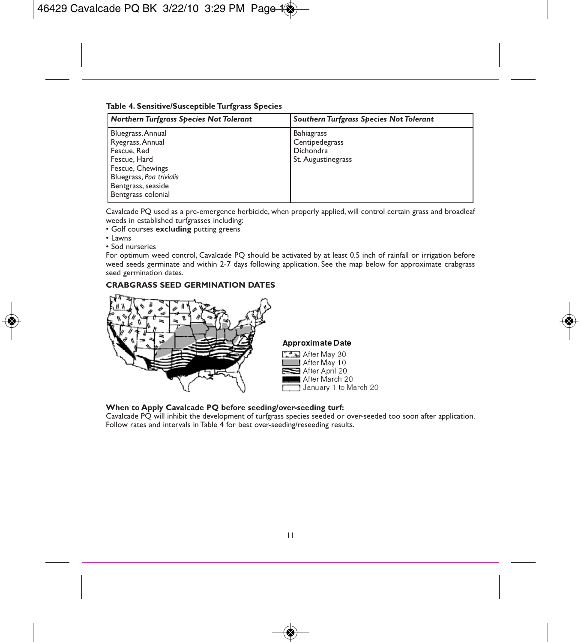| Table 4. Sensitive/Susceptible Turfgrass Species |
|--------------------------------------------------|
|--------------------------------------------------|

| <b>Northern Turfgrass Species Not Tolerant</b>                                                                                                                   | <b>Southern Turfgrass Species Not Tolerant</b>                                |
|------------------------------------------------------------------------------------------------------------------------------------------------------------------|-------------------------------------------------------------------------------|
| Bluegrass, Annual<br>Ryegrass, Annual<br>Fescue, Red<br>Fescue, Hard<br>Fescue, Chewings<br>Bluegrass, Poa trivialis<br>Bentgrass, seaside<br>Bentgrass colonial | <b>Bahiagrass</b><br>Centipedegrass<br><b>Dichondra</b><br>St. Augustinegrass |

Cavalcade PQ used as a pre-emergence herbicide, when properly applied, will control certain grass and broadleaf weeds in established turfgrasses including:

- Golf courses **excluding** putting greens
- Lawns
- Sod nurseries

For optimum weed control, Cavalcade PQ should be activated by at least 0.5 inch of rainfall or irrigation before weed seeds germinate and within 2-7 days following application. See the map below for approximate crabgrass seed germination dates.

#### **CRABGRASS SEED GERMINATION DATES**



#### **When to Apply Cavalcade PQ before seeding/over-seeding turf:**

Cavalcade PQ will inhibit the development of turfgrass species seeded or over-seeded too soon after application. Follow rates and intervals in Table 4 for best over-seeding/reseeding results.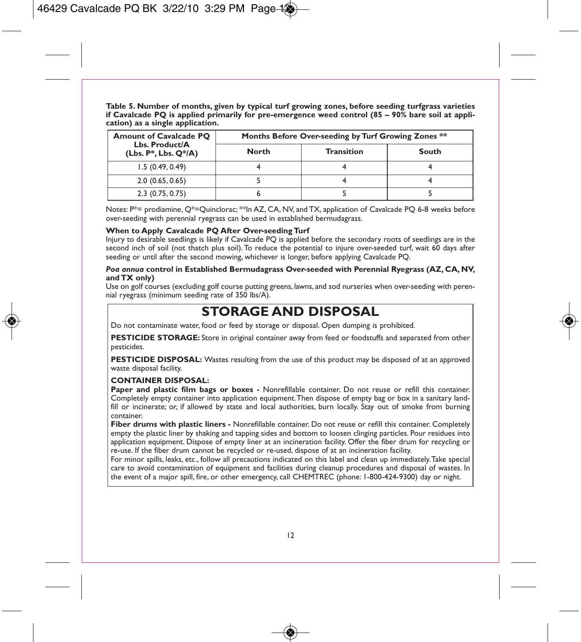**Table 5. Number of months, given by typical turf growing zones, before seeding turfgrass varieties if Cavalcade PQ is applied primarily for pre-emergence weed control (85 – 90% bare soil at application) as a single application.** 

| <b>Amount of Cavalcade PQ</b>                  | Months Before Over-seeding by Turf Growing Zones ** |                   |       |
|------------------------------------------------|-----------------------------------------------------|-------------------|-------|
| Lbs. Product/A<br>(Lbs. $P^*$ , Lbs. $Q^*/A$ ) | <b>North</b>                                        | <b>Transition</b> | South |
| 1.5(0.49, 0.49)                                |                                                     |                   |       |
| 2.0(0.65, 0.65)                                |                                                     |                   |       |
| 2.3(0.75, 0.75)                                |                                                     |                   |       |

Notes: P<sup>\*</sup>= prodiamine, O<sup>\*</sup>=Quinclorac; <sup>\*\*</sup>In AZ, CA, NV, and TX, application of Cavalcade PO 6-8 weeks before over-seeding with perennial ryegrass can be used in established bermudagrass.

#### **When to Apply Cavalcade PQ After Over-seeding Turf**

Injury to desirable seedlings is likely if Cavalcade PQ is applied before the secondary roots of seedlings are in the second inch of soil (not thatch plus soil). To reduce the potential to injure over-seeded turf, wait 60 days after seeding or until after the second mowing, whichever is longer, before applying Cavalcade PQ.

#### *Poa annua* **control in Established Bermudagrass Over-seeded with Perennial Ryegrass (AZ, CA, NV, and TX only)**

Use on golf courses (excluding golf course putting greens, lawns, and sod nurseries when over-seeding with perennial ryegrass (minimum seeding rate of 350 lbs/A).

## **STORAGE AND DISPOSAL**

Do not contaminate water, food or feed by storage or disposal. Open dumping is prohibited.

**PESTICIDE STORAGE:** Store in original container away from feed or foodstuffs and separated from other pesticides.

**PESTICIDE DISPOSAL:** Wastes resulting from the use of this product may be disposed of at an approved waste disposal facility.

#### **CONTAINER DISPOSAL:**

**Paper and plastic film bags or boxes -** Nonrefillable container. Do not reuse or refill this container. Completely empty container into application equipment. Then dispose of empty bag or box in a sanitary landfill or incinerate; or, if allowed by state and local authorities, burn locally. Stay out of smoke from burning container.

**Fiber drums with plastic liners -** Nonrefillable container. Do not reuse or refill this container. Completely empty the plastic liner by shaking and tapping sides and bottom to loosen clinging particles. Pour residues into application equipment. Dispose of empty liner at an incineration facility. Offer the fiber drum for recycling or re-use. If the fiber drum cannot be recycled or re-used, dispose of at an incineration facility.

For minor spills, leaks, etc., follow all precautions indicated on this label and clean up immediately. Take special care to avoid contamination of equipment and facilities during cleanup procedures and disposal of wastes. In the event of a major spill, fire, or other emergency, call CHEMTREC (phone: 1-800-424-9300) day or night.